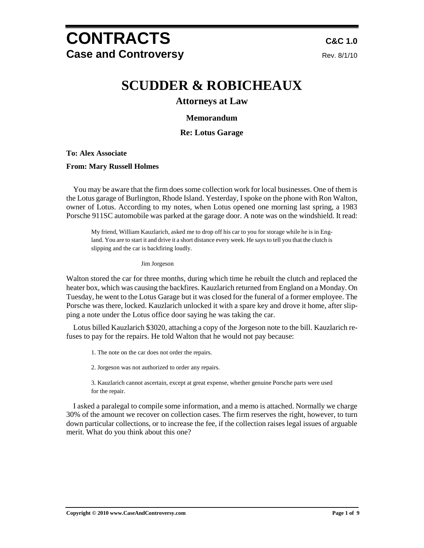# **CONTRACTS C&C 1.0 Case and Controversy** Rev. 8/1/10

# **SCUDDER & ROBICHEAUX**

## **Attorneys at Law**

## **Memorandum**

## **Re: Lotus Garage**

#### **To: Alex Associate**

## **From: Mary Russell Holmes**

You may be aware that the firm does some collection work for local businesses. One of them is the Lotus garage of Burlington, Rhode Island. Yesterday, I spoke on the phone with Ron Walton, owner of Lotus. According to my notes, when Lotus opened one morning last spring, a 1983 Porsche 911SC automobile was parked at the garage door. A note was on the windshield. It read:

My friend, William Kauzlarich, asked me to drop off his car to you for storage while he is in England. You are to start it and drive it a short distance every week. He says to tell you that the clutch is slipping and the car is backfiring loudly.

#### Jim Jorgeson

Walton stored the car for three months, during which time he rebuilt the clutch and replaced the heater box, which was causing the backfires. Kauzlarich returned from England on a Monday. On Tuesday, he went to the Lotus Garage but it was closed for the funeral of a former employee. The Porsche was there, locked. Kauzlarich unlocked it with a spare key and drove it home, after slipping a note under the Lotus office door saying he was taking the car.

Lotus billed Kauzlarich \$3020, attaching a copy of the Jorgeson note to the bill. Kauzlarich refuses to pay for the repairs. He told Walton that he would not pay because:

- 1. The note on the car does not order the repairs.
- 2. Jorgeson was not authorized to order any repairs.

3. Kauzlarich cannot ascertain, except at great expense, whether genuine Porsche parts were used for the repair.

I asked a paralegal to compile some information, and a memo is attached. Normally we charge 30% of the amount we recover on collection cases. The firm reserves the right, however, to turn down particular collections, or to increase the fee, if the collection raises legal issues of arguable merit. What do you think about this one?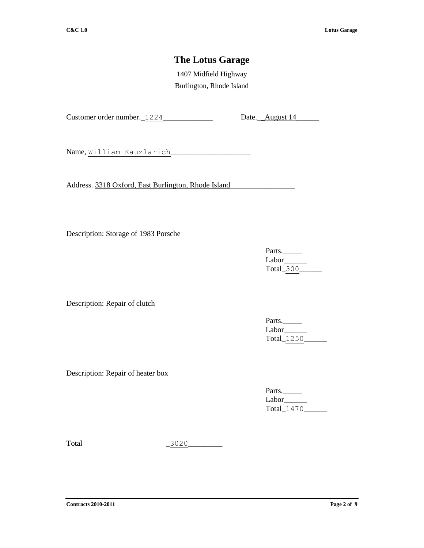## **The Lotus Garage**

1407 Midfield Highway Burlington, Rhode Island

Customer order number.\_1224\_\_\_\_\_\_\_\_\_\_\_\_\_\_\_\_\_\_\_\_\_\_\_\_Date.\_\_August 14\_\_\_\_\_\_\_\_

Name, William Kauzlarich\_\_\_\_\_\_\_\_\_\_\_\_\_\_\_\_\_\_\_\_\_

Address. 3318 Oxford, East Burlington, Rhode Island\_\_\_\_\_\_\_\_\_\_\_\_\_\_\_\_\_\_\_\_\_\_\_\_\_\_\_\_\_\_

Description: Storage of 1983 Porsche

Parts. Labor\_\_\_\_\_\_ Total\_300\_\_\_\_\_\_

Description: Repair of clutch

Parts. Labor\_\_\_\_\_\_\_ Total\_1250\_\_\_\_\_\_

Description: Repair of heater box

Parts. Labor\_\_\_\_\_\_ Total\_1470\_\_\_\_\_\_

Total \_3020\_\_\_\_\_\_\_\_\_

**Contracts 2010-2011 Page 2 of 9**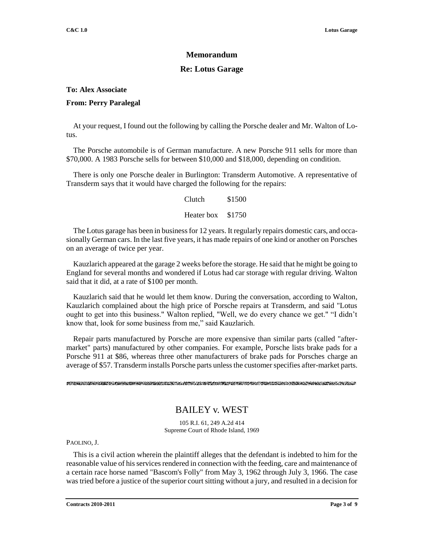## **Memorandum**

## **Re: Lotus Garage**

#### **To: Alex Associate**

### **From: Perry Paralegal**

At your request, I found out the following by calling the Porsche dealer and Mr. Walton of Lotus.

The Porsche automobile is of German manufacture. A new Porsche 911 sells for more than \$70,000. A 1983 Porsche sells for between \$10,000 and \$18,000, depending on condition.

There is only one Porsche dealer in Burlington: Transderm Automotive. A representative of Transderm says that it would have charged the following for the repairs:

> Clutch \$1500 Heater box \$1750

The Lotus garage has been in business for 12 years. It regularly repairs domestic cars, and occasionally German cars. In the last five years, it has made repairs of one kind or another on Porsches on an average of twice per year.

Kauzlarich appeared at the garage 2 weeks before the storage. He said that he might be going to England for several months and wondered if Lotus had car storage with regular driving. Walton said that it did, at a rate of \$100 per month.

Kauzlarich said that he would let them know. During the conversation, according to Walton, Kauzlarich complained about the high price of Porsche repairs at Transderm, and said "Lotus ought to get into this business." Walton replied, "Well, we do every chance we get." "I didn't know that, look for some business from me," said Kauzlarich.

Repair parts manufactured by Porsche are more expensive than similar parts (called "aftermarket" parts) manufactured by other companies. For example, Porsche lists brake pads for a Porsche 911 at \$86, whereas three other manufacturers of brake pads for Porsches charge an average of \$57. Transderm installs Porsche parts unless the customer specifies after-market parts.

#### *PI BA*DAN SING MILANG KARANG KARANG BALANG KALANG KOMBIT MANG KATI MAN BANG KELANG KATUNG KATUNG KATUNG KATUNG K

## BAILEY v. WEST

105 R.I. 61, 249 A.2d 414 Supreme Court of Rhode Island, 1969

PAOLINO, J.

This is a civil action wherein the plaintiff alleges that the defendant is indebted to him for the reasonable value of his services rendered in connection with the feeding, care and maintenance of a certain race horse named "Bascom's Folly" from May 3, 1962 through July 3, 1966. The case was tried before a justice of the superior court sitting without a jury, and resulted in a decision for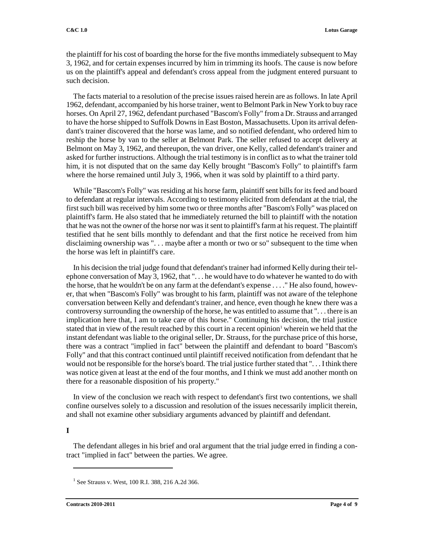the plaintiff for his cost of boarding the horse for the five months immediately subsequent to May 3, 1962, and for certain expenses incurred by him in trimming its hoofs. The cause is now before us on the plaintiff's appeal and defendant's cross appeal from the judgment entered pursuant to such decision.

The facts material to a resolution of the precise issues raised herein are as follows. In late April 1962, defendant, accompanied by his horse trainer, went to Belmont Park in New York to buy race horses. On April 27, 1962, defendant purchased "Bascom's Folly" from a Dr. Strauss and arranged to have the horse shipped to Suffolk Downs in East Boston, Massachusetts. Upon its arrival defendant's trainer discovered that the horse was lame, and so notified defendant, who ordered him to reship the horse by van to the seller at Belmont Park. The seller refused to accept delivery at Belmont on May 3, 1962, and thereupon, the van driver, one Kelly, called defendant's trainer and asked for further instructions. Although the trial testimony is in conflict as to what the trainer told him, it is not disputed that on the same day Kelly brought "Bascom's Folly" to plaintiff's farm where the horse remained until July 3, 1966, when it was sold by plaintiff to a third party.

While "Bascom's Folly" was residing at his horse farm, plaintiff sent bills for its feed and board to defendant at regular intervals. According to testimony elicited from defendant at the trial, the first such bill was received by him some two or three months after "Bascom's Folly" was placed on plaintiff's farm. He also stated that he immediately returned the bill to plaintiff with the notation that he was not the owner of the horse nor was it sent to plaintiff's farm at his request. The plaintiff testified that he sent bills monthly to defendant and that the first notice he received from him disclaiming ownership was ". . . maybe after a month or two or so" subsequent to the time when the horse was left in plaintiff's care.

In his decision the trial judge found that defendant's trainer had informed Kelly during their telephone conversation of May 3, 1962, that ". . . he would have to do whatever he wanted to do with the horse, that he wouldn't be on any farm at the defendant's expense . . . ." He also found, however, that when "Bascom's Folly" was brought to his farm, plaintiff was not aware of the telephone conversation between Kelly and defendant's trainer, and hence, even though he knew there was a controversy surrounding the ownership of the horse, he was entitled to assume that ". . . there is an implication here that, I am to take care of this horse." Continuing his decision, the trial justice stated that in view of the result reached by this court in a recent opinion<sup>1</sup> wherein we held that the instant defendant was liable to the original seller, Dr. Strauss, for the purchase price of this horse, there was a contract "implied in fact" between the plaintiff and defendant to board "Bascom's Folly" and that this contract continued until plaintiff received notification from defendant that he would not be responsible for the horse's board. The trial justice further stated that ". . . I think there was notice given at least at the end of the four months, and I think we must add another month on there for a reasonable disposition of his property."

In view of the conclusion we reach with respect to defendant's first two contentions, we shall confine ourselves solely to a discussion and resolution of the issues necessarily implicit therein, and shall not examine other subsidiary arguments advanced by plaintiff and defendant.

**I**

 $\overline{\phantom{a}}$ 

The defendant alleges in his brief and oral argument that the trial judge erred in finding a contract "implied in fact" between the parties. We agree.

<sup>&</sup>lt;sup>1</sup> See Strauss v. West, 100 R.I. 388, 216 A.2d 366.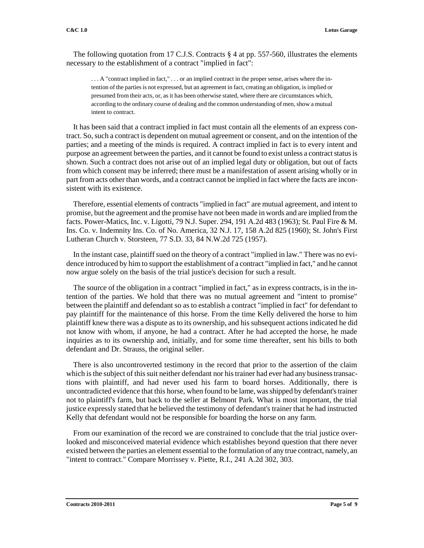The following quotation from 17 C.J.S. Contracts § 4 at pp. 557-560, illustrates the elements necessary to the establishment of a contract "implied in fact":

. . . A "contract implied in fact," . . . or an implied contract in the proper sense, arises where the intention of the parties is not expressed, but an agreement in fact, creating an obligation, is implied or presumed from their acts, or, as it has been otherwise stated, where there are circumstances which, according to the ordinary course of dealing and the common understanding of men, show a mutual intent to contract.

It has been said that a contract implied in fact must contain all the elements of an express contract. So, such a contract is dependent on mutual agreement or consent, and on the intention of the parties; and a meeting of the minds is required. A contract implied in fact is to every intent and purpose an agreement between the parties, and it cannot be found to exist unless a contract status is shown. Such a contract does not arise out of an implied legal duty or obligation, but out of facts from which consent may be inferred; there must be a manifestation of assent arising wholly or in part from acts other than words, and a contract cannot be implied in fact where the facts are inconsistent with its existence.

Therefore, essential elements of contracts "implied in fact" are mutual agreement, and intent to promise, but the agreement and the promise have not been made in words and are implied from the facts. Power-Matics, Inc. v. Ligotti, 79 N.J. Super. 294, 191 A.2d 483 (1963); St. Paul Fire & M. Ins. Co. v. Indemnity Ins. Co. of No. America, 32 N.J. 17, 158 A.2d 825 (1960); St. John's First Lutheran Church v. Storsteen, 77 S.D. 33, 84 N.W.2d 725 (1957).

In the instant case, plaintiff sued on the theory of a contract "implied in law." There was no evidence introduced by him to support the establishment of a contract "implied in fact," and he cannot now argue solely on the basis of the trial justice's decision for such a result.

The source of the obligation in a contract "implied in fact," as in express contracts, is in the intention of the parties. We hold that there was no mutual agreement and "intent to promise" between the plaintiff and defendant so as to establish a contract "implied in fact" for defendant to pay plaintiff for the maintenance of this horse. From the time Kelly delivered the horse to him plaintiff knew there was a dispute as to its ownership, and his subsequent actions indicated he did not know with whom, if anyone, he had a contract. After he had accepted the horse, he made inquiries as to its ownership and, initially, and for some time thereafter, sent his bills to both defendant and Dr. Strauss, the original seller.

There is also uncontroverted testimony in the record that prior to the assertion of the claim which is the subject of this suit neither defendant nor his trainer had ever had any business transactions with plaintiff, and had never used his farm to board horses. Additionally, there is uncontradicted evidence that this horse, when found to be lame, was shipped by defendant's trainer not to plaintiff's farm, but back to the seller at Belmont Park. What is most important, the trial justice expressly stated that he believed the testimony of defendant's trainer that he had instructed Kelly that defendant would not be responsible for boarding the horse on any farm.

From our examination of the record we are constrained to conclude that the trial justice overlooked and misconceived material evidence which establishes beyond question that there never existed between the parties an element essential to the formulation of any true contract, namely, an "intent to contract." Compare Morrissey v. Piette, R.I., 241 A.2d 302, 303.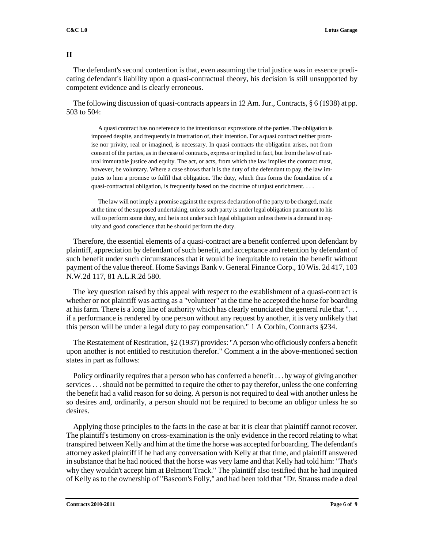#### **II**

The defendant's second contention is that, even assuming the trial justice was in essence predicating defendant's liability upon a quasi-contractual theory, his decision is still unsupported by competent evidence and is clearly erroneous.

The following discussion of quasi-contracts appears in 12 Am. Jur., Contracts, § 6 (1938) at pp. 503 to 504:

A quasi contract has no reference to the intentions or expressions of the parties. The obligation is imposed despite, and frequently in frustration of, their intention. For a quasi contract neither promise nor privity, real or imagined, is necessary. In quasi contracts the obligation arises, not from consent of the parties, as in the case of contracts, express or implied in fact, but from the law of natural immutable justice and equity. The act, or acts, from which the law implies the contract must, however, be voluntary. Where a case shows that it is the duty of the defendant to pay, the law imputes to him a promise to fulfil that obligation. The duty, which thus forms the foundation of a quasi-contractual obligation, is frequently based on the doctrine of unjust enrichment. . . .

The law will not imply a promise against the express declaration of the party to be charged, made at the time of the supposed undertaking, unless such party is under legal obligation paramount to his will to perform some duty, and he is not under such legal obligation unless there is a demand in equity and good conscience that he should perform the duty.

Therefore, the essential elements of a quasi-contract are a benefit conferred upon defendant by plaintiff, appreciation by defendant of such benefit, and acceptance and retention by defendant of such benefit under such circumstances that it would be inequitable to retain the benefit without payment of the value thereof. Home Savings Bank v. General Finance Corp., 10 Wis. 2d 417, 103 N.W.2d 117, 81 A.L.R.2d 580.

The key question raised by this appeal with respect to the establishment of a quasi-contract is whether or not plaintiff was acting as a "volunteer" at the time he accepted the horse for boarding at his farm. There is a long line of authority which has clearly enunciated the general rule that ". . . if a performance is rendered by one person without any request by another, it is very unlikely that this person will be under a legal duty to pay compensation." 1 A Corbin, Contracts §234.

The Restatement of Restitution, §2 (1937) provides: "A person who officiously confers a benefit upon another is not entitled to restitution therefor." Comment a in the above-mentioned section states in part as follows:

Policy ordinarily requires that a person who has conferred a benefit . . . by way of giving another services . . . should not be permitted to require the other to pay therefor, unless the one conferring the benefit had a valid reason for so doing. A person is not required to deal with another unless he so desires and, ordinarily, a person should not be required to become an obligor unless he so desires.

Applying those principles to the facts in the case at bar it is clear that plaintiff cannot recover. The plaintiff's testimony on cross-examination is the only evidence in the record relating to what transpired between Kelly and him at the time the horse was accepted for boarding. The defendant's attorney asked plaintiff if he had any conversation with Kelly at that time, and plaintiff answered in substance that he had noticed that the horse was very lame and that Kelly had told him: "That's why they wouldn't accept him at Belmont Track." The plaintiff also testified that he had inquired of Kelly as to the ownership of "Bascom's Folly," and had been told that "Dr. Strauss made a deal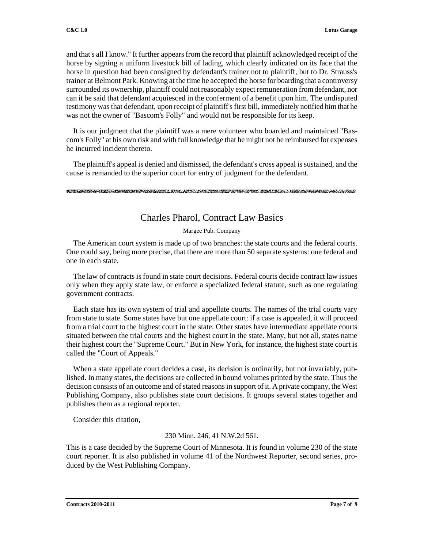and that's all I know." It further appears from the record that plaintiff acknowledged receipt of the horse by signing a uniform livestock bill of lading, which clearly indicated on its face that the horse in question had been consigned by defendant's trainer not to plaintiff, but to Dr. Strauss's trainer at Belmont Park. Knowing at the time he accepted the horse for boarding that a controversy surrounded its ownership, plaintiff could not reasonably expect remuneration from defendant, nor can it be said that defendant acquiesced in the conferment of a benefit upon him. The undisputed testimony was that defendant, upon receipt of plaintiff's first bill, immediately notified him that he was not the owner of "Bascom's Folly" and would not be responsible for its keep.

It is our judgment that the plaintiff was a mere volunteer who boarded and maintained "Bascom's Folly" at his own risk and with full knowledge that he might not be reimbursed for expenses he incurred incident thereto.

The plaintiff's appeal is denied and dismissed, the defendant's cross appeal is sustained, and the cause is remanded to the superior court for entry of judgment for the defendant.

*⋬⋝*⋜ቒቜዿዄዄዄቑጟቑኯዾዾፙቔጞቑፙቚቑቝቝቝቝቝቝቝቔቔዸቚቝኇኇፙፙኇዄዸዹቔኇጜቝኇፙኇፙቝቔቚፙፙቔዿቑፙቝኇፙፙኇፇቘቔቑኇፙፙኇዺቚፙቝፙቝፙፙፙፙፙፙፙፙፙቚኇፙቚዿዄቝቑጟፙዹ

# Charles Pharol, Contract Law Basics

#### Margee Pub. Company

The American court system is made up of two branches: the state courts and the federal courts. One could say, being more precise, that there are more than 50 separate systems: one federal and one in each state.

The law of contracts is found in state court decisions. Federal courts decide contract law issues only when they apply state law, or enforce a specialized federal statute, such as one regulating government contracts.

Each state has its own system of trial and appellate courts. The names of the trial courts vary from state to state. Some states have but one appellate court: if a case is appealed, it will proceed from a trial court to the highest court in the state. Other states have intermediate appellate courts situated between the trial courts and the highest court in the state. Many, but not all, states name their highest court the "Supreme Court." But in New York, for instance, the highest state court is called the "Court of Appeals."

When a state appellate court decides a case, its decision is ordinarily, but not invariably, published. In many states, the decisions are collected in bound volumes printed by the state. Thus the decision consists of an outcome and of stated reasons in support of it. A private company, the West Publishing Company, also publishes state court decisions. It groups several states together and publishes them as a regional reporter.

Consider this citation,

## 230 Minn. 246, 41 N.W.2d 561.

This is a case decided by the Supreme Court of Minnesota. It is found in volume 230 of the state court reporter. It is also published in volume 41 of the Northwest Reporter, second series, produced by the West Publishing Company.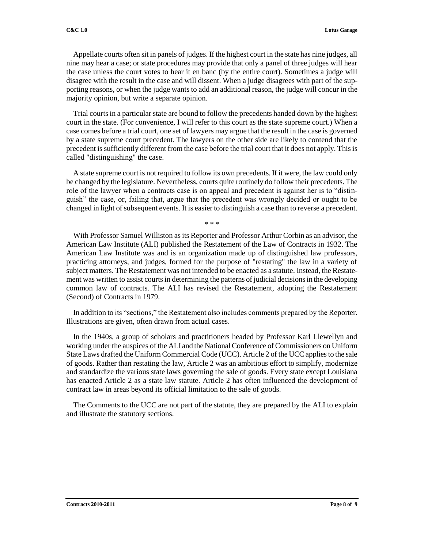Appellate courts often sit in panels of judges. If the highest court in the state has nine judges, all nine may hear a case; or state procedures may provide that only a panel of three judges will hear the case unless the court votes to hear it en banc (by the entire court). Sometimes a judge will disagree with the result in the case and will dissent. When a judge disagrees with part of the supporting reasons, or when the judge wants to add an additional reason, the judge will concur in the majority opinion, but write a separate opinion.

Trial courts in a particular state are bound to follow the precedents handed down by the highest court in the state. (For convenience, I will refer to this court as the state supreme court.) When a case comes before a trial court, one set of lawyers may argue that the result in the case is governed by a state supreme court precedent. The lawyers on the other side are likely to contend that the precedent is sufficiently different from the case before the trial court that it does not apply. This is called "distinguishing" the case.

A state supreme court is not required to follow its own precedents. If it were, the law could only be changed by the legislature. Nevertheless, courts quite routinely do follow their precedents. The role of the lawyer when a contracts case is on appeal and precedent is against her is to "distinguish" the case, or, failing that, argue that the precedent was wrongly decided or ought to be changed in light of subsequent events. It is easier to distinguish a case than to reverse a precedent.

 $* * *$ 

With Professor Samuel Williston as its Reporter and Professor Arthur Corbin as an advisor, the American Law Institute (ALI) published the Restatement of the Law of Contracts in 1932. The American Law Institute was and is an organization made up of distinguished law professors, practicing attorneys, and judges, formed for the purpose of "restating" the law in a variety of subject matters. The Restatement was not intended to be enacted as a statute. Instead, the Restatement was written to assist courts in determining the patterns of judicial decisions in the developing common law of contracts. The ALI has revised the Restatement, adopting the Restatement (Second) of Contracts in 1979.

In addition to its "sections," the Restatement also includes comments prepared by the Reporter. Illustrations are given, often drawn from actual cases.

In the 1940s, a group of scholars and practitioners headed by Professor Karl Llewellyn and working under the auspices of the ALI and the National Conference of Commissioners on Uniform State Laws drafted the Uniform Commercial Code (UCC). Article 2 of the UCC applies to the sale of goods. Rather than restating the law, Article 2 was an ambitious effort to simplify, modernize and standardize the various state laws governing the sale of goods. Every state except Louisiana has enacted Article 2 as a state law statute. Article 2 has often influenced the development of contract law in areas beyond its official limitation to the sale of goods.

The Comments to the UCC are not part of the statute, they are prepared by the ALI to explain and illustrate the statutory sections.